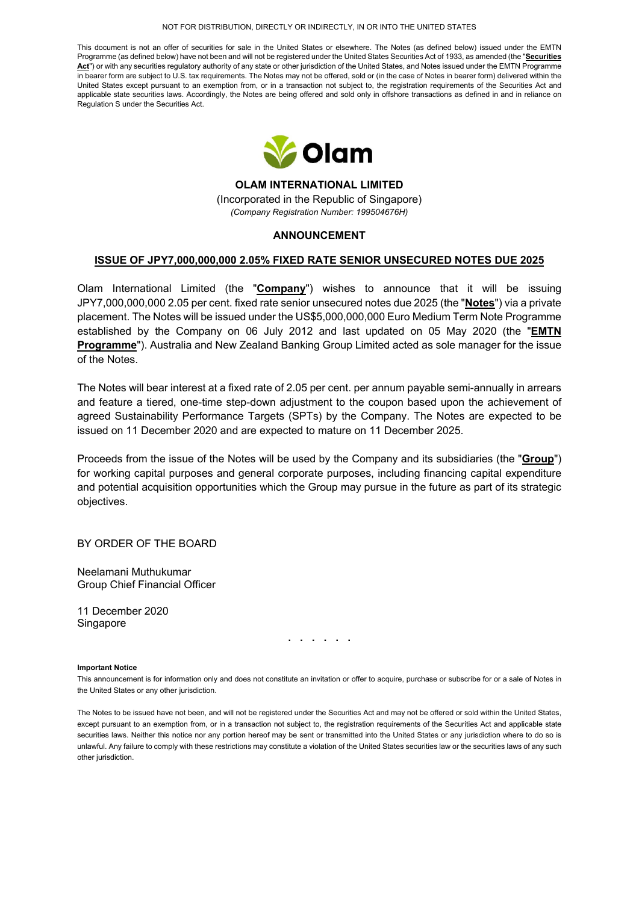#### NOT FOR DISTRIBUTION, DIRECTLY OR INDIRECTLY, IN OR INTO THE UNITED STATES

This document is not an offer of securities for sale in the United States or elsewhere. The Notes (as defined below) issued under the EMTN Programme (as defined below) have not been and will not be registered under the United States Securities Act of 1933, as amended (the "**Securities**  Act<sup>"</sup>) or with any securities regulatory authority of any state or other jurisdiction of the United States, and Notes issued under the EMTN Programme in bearer form are subject to U.S. tax requirements. The Notes may not be offered, sold or (in the case of Notes in bearer form) delivered within the United States except pursuant to an exemption from, or in a transaction not subject to, the registration requirements of the Securities Act and applicable state securities laws. Accordingly, the Notes are being offered and sold only in offshore transactions as defined in and in reliance on Regulation S under the Securities Act.



**OLAM INTERNATIONAL LIMITED**  (Incorporated in the Republic of Singapore) *(Company Registration Number: 199504676H)*

## **ANNOUNCEMENT**

## **ISSUE OF JPY7,000,000,000 2.05% FIXED RATE SENIOR UNSECURED NOTES DUE 2025**

Olam International Limited (the "**Company**") wishes to announce that it will be issuing JPY7,000,000,000 2.05 per cent. fixed rate senior unsecured notes due 2025 (the "**Notes**") via a private placement. The Notes will be issued under the US\$5,000,000,000 Euro Medium Term Note Programme established by the Company on 06 July 2012 and last updated on 05 May 2020 (the "**EMTN Programme**"). Australia and New Zealand Banking Group Limited acted as sole manager for the issue of the Notes.

The Notes will bear interest at a fixed rate of 2.05 per cent. per annum payable semi-annually in arrears and feature a tiered, one-time step-down adjustment to the coupon based upon the achievement of agreed Sustainability Performance Targets (SPTs) by the Company. The Notes are expected to be issued on 11 December 2020 and are expected to mature on 11 December 2025.

Proceeds from the issue of the Notes will be used by the Company and its subsidiaries (the "**Group**") for working capital purposes and general corporate purposes, including financing capital expenditure and potential acquisition opportunities which the Group may pursue in the future as part of its strategic objectives.

BY ORDER OF THE BOARD

Neelamani Muthukumar Group Chief Financial Officer

11 December 2020 Singapore

**. . . . . .** 

#### **Important Notice**

This announcement is for information only and does not constitute an invitation or offer to acquire, purchase or subscribe for or a sale of Notes in the United States or any other jurisdiction.

The Notes to be issued have not been, and will not be registered under the Securities Act and may not be offered or sold within the United States, except pursuant to an exemption from, or in a transaction not subject to, the registration requirements of the Securities Act and applicable state securities laws. Neither this notice nor any portion hereof may be sent or transmitted into the United States or any jurisdiction where to do so is unlawful. Any failure to comply with these restrictions may constitute a violation of the United States securities law or the securities laws of any such other jurisdiction.